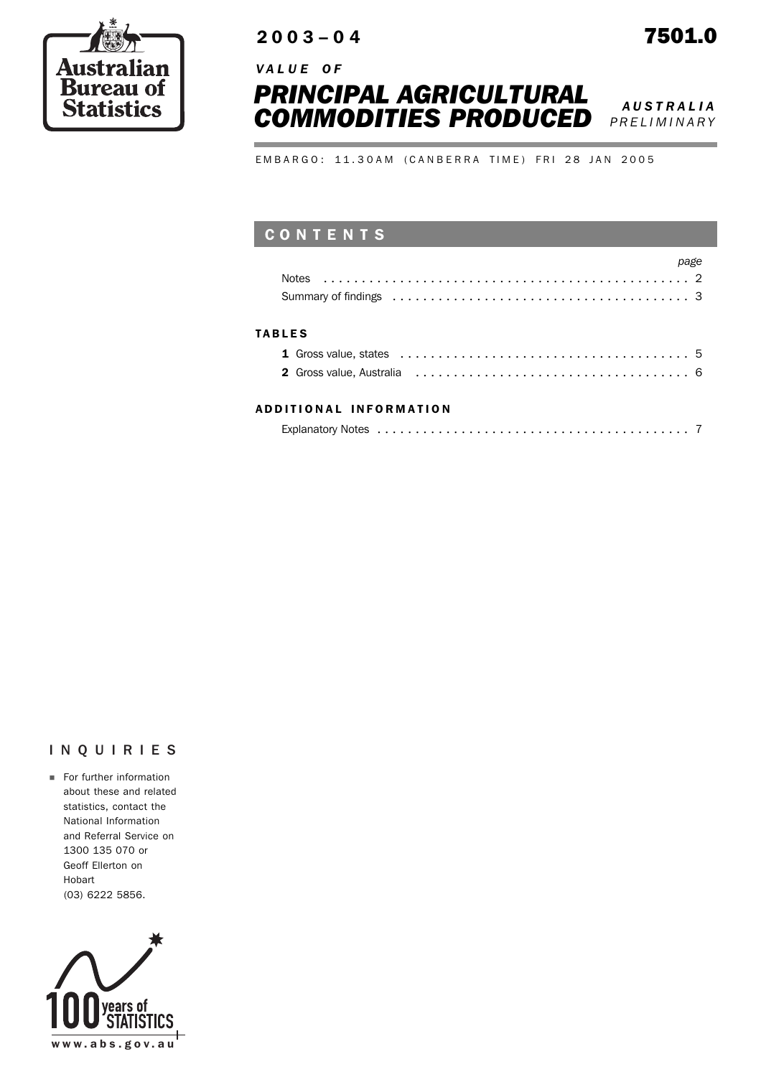

# 2003–04 7501.0

*V A L U E O F* 



*PRELIMINARY*

EMBARGO: 11.30AM (CANBERRA TIME) FRI 28 JAN 2005

## CONTENTS

|               | Summary of findings enterpreteration of the contract of the contract of the summary of findings enterpreteration of the summary of findings of the summary of findings of the summary of $\frac{3}{2}$ |
|---------------|--------------------------------------------------------------------------------------------------------------------------------------------------------------------------------------------------------|
| <b>TABLES</b> |                                                                                                                                                                                                        |
|               |                                                                                                                                                                                                        |
|               | 2 Gross value. Australia entre entre entre entre entre en entre en la marzo de la marzo de la marzo de la marz                                                                                         |

#### ADDITIONAL INFORMATION

| Explanatory Notes |  |
|-------------------|--|
|                   |  |

### INQUIRIES

**EXECUTE:** For further information about these and related statistics, contact the National Information and Referral Service on 1300 135 070 or Geoff Ellerton on Hobart (03) 6222 5856.

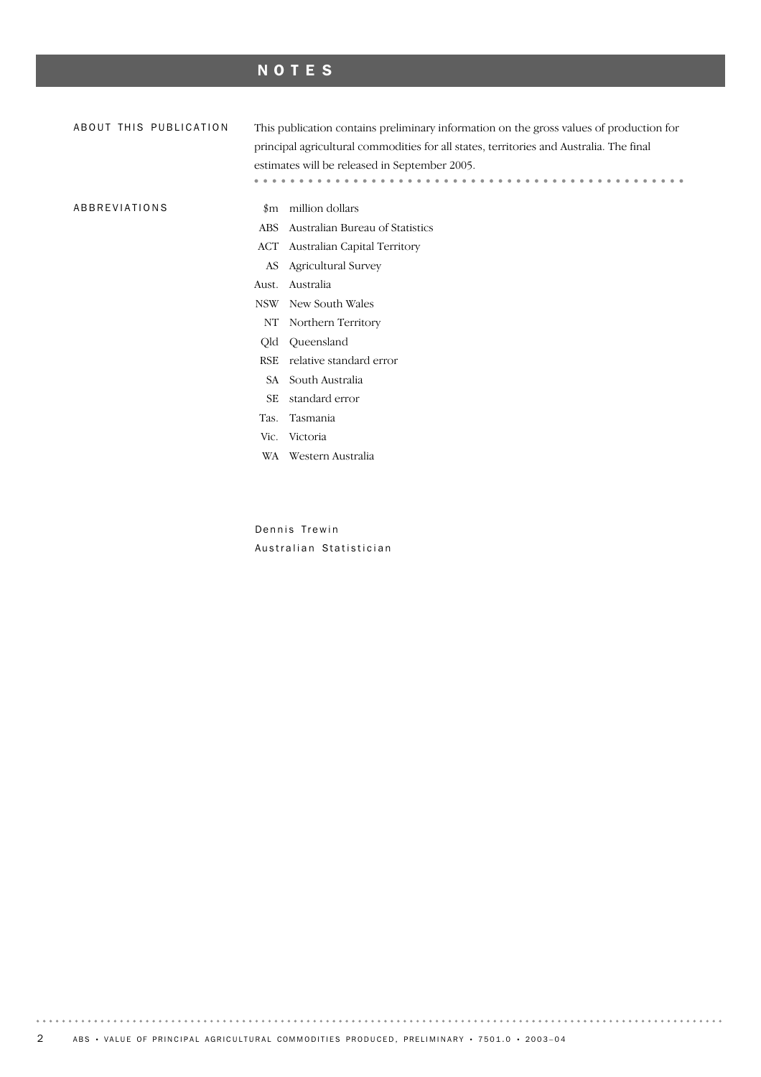# NOTES

| ABOUT THIS PUBLICATION | This publication contains preliminary information on the gross values of production for |                                 |  |  |  |  |
|------------------------|-----------------------------------------------------------------------------------------|---------------------------------|--|--|--|--|
|                        | principal agricultural commodities for all states, territories and Australia. The final |                                 |  |  |  |  |
|                        | estimates will be released in September 2005.                                           |                                 |  |  |  |  |
|                        |                                                                                         |                                 |  |  |  |  |
| ABBREVIATIONS          | $_{\rm sm}$                                                                             | million dollars                 |  |  |  |  |
|                        | <b>ABS</b>                                                                              | Australian Bureau of Statistics |  |  |  |  |
|                        | ACT                                                                                     | Australian Capital Territory    |  |  |  |  |
|                        | AS                                                                                      | <b>Agricultural Survey</b>      |  |  |  |  |
|                        | Australia<br>Aust.                                                                      |                                 |  |  |  |  |
|                        | New South Wales<br>NSW                                                                  |                                 |  |  |  |  |
|                        | NΤ                                                                                      | Northern Territory              |  |  |  |  |
|                        | Qld                                                                                     | Queensland                      |  |  |  |  |
|                        | <b>RSE</b>                                                                              | relative standard error         |  |  |  |  |
|                        | SA                                                                                      | South Australia                 |  |  |  |  |
|                        | SЕ                                                                                      | standard error                  |  |  |  |  |
|                        | Tas.                                                                                    | Tasmania                        |  |  |  |  |
|                        | Vic.                                                                                    | Victoria                        |  |  |  |  |
|                        | WA                                                                                      | Western Australia               |  |  |  |  |
|                        |                                                                                         |                                 |  |  |  |  |
|                        |                                                                                         |                                 |  |  |  |  |

Dennis Trewin Australian Statistician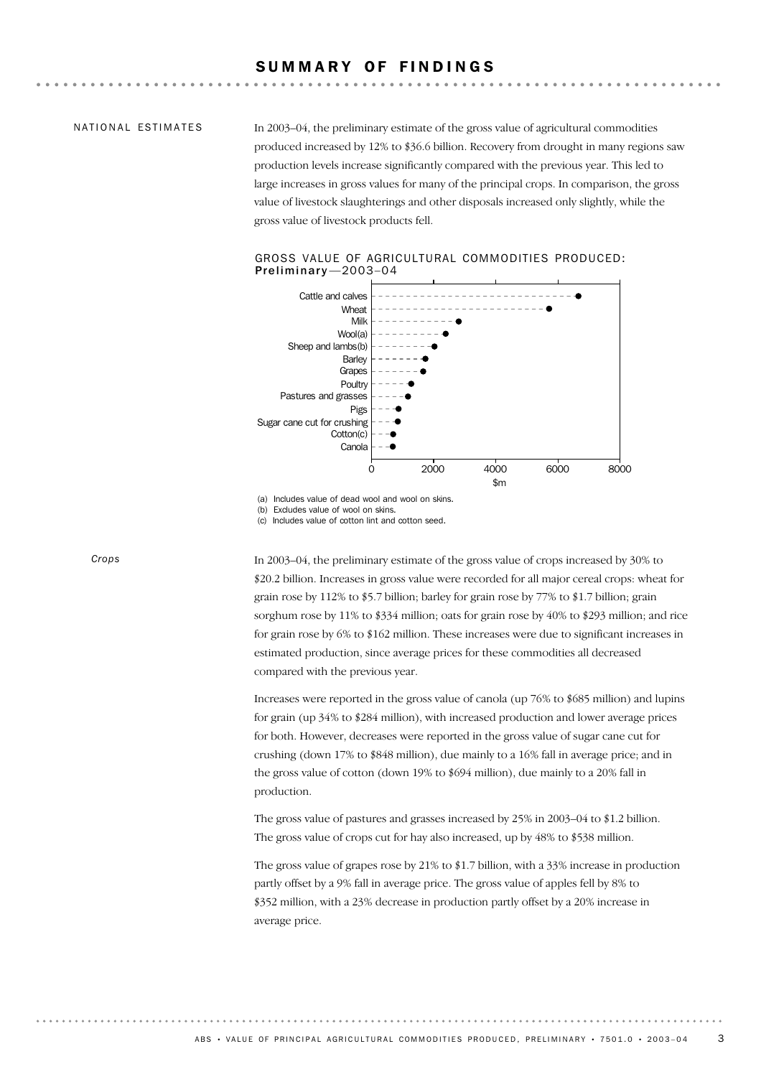### SUMMARY OF FINDINGS

#### NATIONAL ESTIMATES

In 2003–04, the preliminary estimate of the gross value of agricultural commodities produced increased by 12% to \$36.6 billion. Recovery from drought in many regions saw production levels increase significantly compared with the previous year. This led to large increases in gross values for many of the principal crops. In comparison, the gross value of livestock slaughterings and other disposals increased only slightly, while the gross value of livestock products fell.



GROSS VALUE OF AGRICULTURAL COMMODITIES PRODUCED: Preliminary —2003–04

(a) Includes value of dead wool and wool on skins.<br>(b) Excludes value of wool on skins.

(b) Excludes value of wool on skins.<br>(c) Includes value of cotton lint and

Includes value of cotton lint and cotton seed.

*Crops*

In 2003–04, the preliminary estimate of the gross value of crops increased by 30% to \$20.2 billion. Increases in gross value were recorded for all major cereal crops: wheat for grain rose by 112% to \$5.7 billion; barley for grain rose by 77% to \$1.7 billion; grain sorghum rose by 11% to \$334 million; oats for grain rose by 40% to \$293 million; and rice for grain rose by 6% to \$162 million. These increases were due to significant increases in estimated production, since average prices for these commodities all decreased compared with the previous year.

Increases were reported in the gross value of canola (up 76% to \$685 million) and lupins for grain (up 34% to \$284 million), with increased production and lower average prices for both. However, decreases were reported in the gross value of sugar cane cut for crushing (down 17% to \$848 million), due mainly to a 16% fall in average price; and in the gross value of cotton (down 19% to \$694 million), due mainly to a 20% fall in production.

The gross value of pastures and grasses increased by 25% in 2003–04 to \$1.2 billion. The gross value of crops cut for hay also increased, up by 48% to \$538 million.

The gross value of grapes rose by 21% to \$1.7 billion, with a 33% increase in production partly offset by a 9% fall in average price. The gross value of apples fell by 8% to \$352 million, with a 23% decrease in production partly offset by a 20% increase in average price.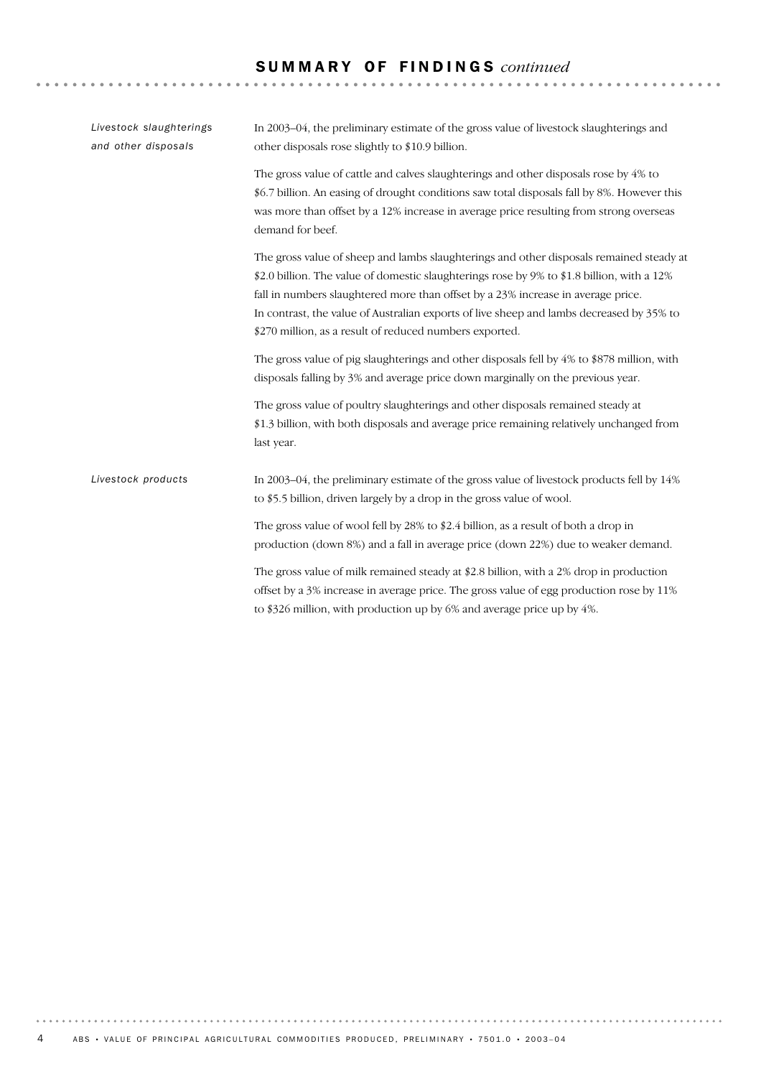### S U M M A R Y O F F I N D I N G S *continued*

| Livestock slaughterings<br>and other disposals | In 2003–04, the preliminary estimate of the gross value of livestock slaughterings and<br>other disposals rose slightly to \$10.9 billion.                                                                                                                                                                                                                                                                                       |  |  |  |  |  |
|------------------------------------------------|----------------------------------------------------------------------------------------------------------------------------------------------------------------------------------------------------------------------------------------------------------------------------------------------------------------------------------------------------------------------------------------------------------------------------------|--|--|--|--|--|
|                                                | The gross value of cattle and calves slaughterings and other disposals rose by 4% to<br>\$6.7 billion. An easing of drought conditions saw total disposals fall by 8%. However this<br>was more than offset by a 12% increase in average price resulting from strong overseas<br>demand for beef.                                                                                                                                |  |  |  |  |  |
|                                                | The gross value of sheep and lambs slaughterings and other disposals remained steady at<br>\$2.0 billion. The value of domestic slaughterings rose by 9% to \$1.8 billion, with a 12%<br>fall in numbers slaughtered more than offset by a 23% increase in average price.<br>In contrast, the value of Australian exports of live sheep and lambs decreased by 35% to<br>\$270 million, as a result of reduced numbers exported. |  |  |  |  |  |
|                                                | The gross value of pig slaughterings and other disposals fell by 4% to \$878 million, with<br>disposals falling by 3% and average price down marginally on the previous year.                                                                                                                                                                                                                                                    |  |  |  |  |  |
|                                                | The gross value of poultry slaughterings and other disposals remained steady at<br>\$1.3 billion, with both disposals and average price remaining relatively unchanged from<br>last year.                                                                                                                                                                                                                                        |  |  |  |  |  |
| Livestock products                             | In 2003–04, the preliminary estimate of the gross value of livestock products fell by 14%<br>to \$5.5 billion, driven largely by a drop in the gross value of wool.                                                                                                                                                                                                                                                              |  |  |  |  |  |
|                                                | The gross value of wool fell by 28% to \$2.4 billion, as a result of both a drop in<br>production (down 8%) and a fall in average price (down 22%) due to weaker demand.                                                                                                                                                                                                                                                         |  |  |  |  |  |
|                                                | The gross value of milk remained steady at \$2.8 billion, with a 2% drop in production<br>offset by a 3% increase in average price. The gross value of egg production rose by 11%<br>to \$326 million, with production up by 6% and average price up by 4%.                                                                                                                                                                      |  |  |  |  |  |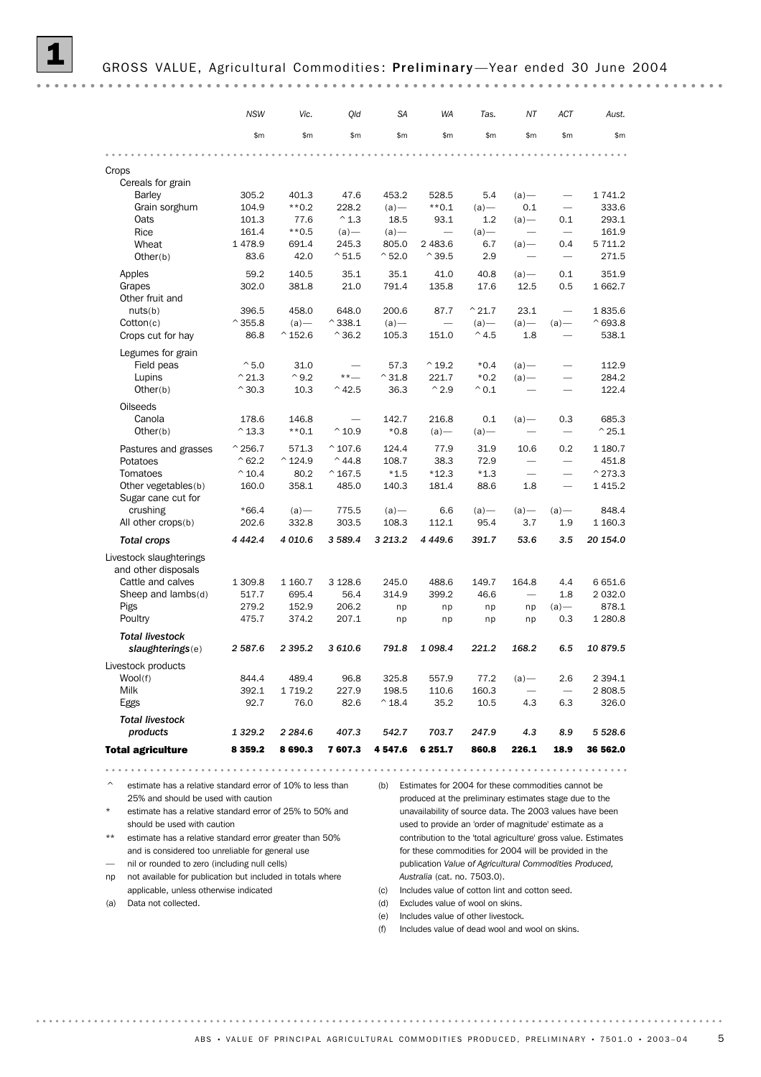#### GROSS VALUE, Agricultural Commodities: Preliminary-Year ended 30 June 2004

|                                             | <b>NSW</b>        | Vic.              | Qld                   | <b>SA</b>        | <b>WA</b>                | Tas.             | NΤ                                                                                                                                                                                                                             | ACT                      | Aust.             |
|---------------------------------------------|-------------------|-------------------|-----------------------|------------------|--------------------------|------------------|--------------------------------------------------------------------------------------------------------------------------------------------------------------------------------------------------------------------------------|--------------------------|-------------------|
|                                             | \$m               | \$m               | \$m\$                 | \$m\$            | \$m\$                    | \$m\$            | \$m\$                                                                                                                                                                                                                          | \$m                      | \$m\$             |
|                                             |                   |                   |                       |                  |                          |                  |                                                                                                                                                                                                                                |                          |                   |
| Crops                                       |                   |                   |                       |                  |                          |                  |                                                                                                                                                                                                                                |                          |                   |
| Cereals for grain                           |                   |                   |                       |                  |                          |                  |                                                                                                                                                                                                                                |                          |                   |
| Barley                                      | 305.2             | 401.3             | 47.6                  | 453.2            | 528.5                    | 5.4              | $(a)$ —                                                                                                                                                                                                                        |                          | 1 741.2           |
| Grain sorghum                               | 104.9             | $**0.2$           | 228.2                 | $(a)$ —          | $**0.1$                  | $(a)$ —          | 0.1                                                                                                                                                                                                                            | $\overline{\phantom{0}}$ | 333.6             |
| Oats                                        | 101.3             | 77.6              | $^{\wedge}$ 1.3       | 18.5             | 93.1                     | 1.2              | $(a)$ —                                                                                                                                                                                                                        | 0.1                      | 293.1             |
| Rice                                        | 161.4             | $**0.5$           | $(a)$ —               | $(a)$ —          | $\overline{\phantom{0}}$ | $(a)$ —          |                                                                                                                                                                                                                                |                          | 161.9             |
| Wheat                                       | 1478.9            | 691.4             | 245.3                 | 805.0            | 2 483.6                  | 6.7              | $(a)$ —                                                                                                                                                                                                                        | 0.4                      | 5 7 1 1.2         |
| Other(b)                                    | 83.6              | 42.0              | $^{\circ}51.5$        | $^{\circ}$ 52.0  | $^{\wedge}39.5$          | 2.9              |                                                                                                                                                                                                                                |                          | 271.5             |
| Apples                                      | 59.2              | 140.5             | 35.1                  | 35.1             | 41.0                     | 40.8             | $(a)$ —                                                                                                                                                                                                                        | 0.1                      | 351.9             |
| Grapes                                      | 302.0             | 381.8             | 21.0                  | 791.4            | 135.8                    | 17.6             | 12.5                                                                                                                                                                                                                           | 0.5                      | 1 662.7           |
| Other fruit and                             |                   |                   |                       |                  |                          |                  |                                                                                                                                                                                                                                |                          |                   |
| nuts(b)                                     | 396.5             | 458.0             | 648.0                 | 200.6            | 87.7                     | $^{\wedge}$ 21.7 | 23.1                                                                                                                                                                                                                           |                          | 1835.6            |
| Cotton(c)                                   | $^{\wedge}$ 355.8 | $(a)$ —           | $^{\wedge}$ 338.1     | $(a)$ —          |                          | $(a)$ —          | $(a)$ —                                                                                                                                                                                                                        | $(a)$ —                  | $^{\circ}693.8$   |
| Crops cut for hay                           | 86.8              | $^{\wedge}$ 152.6 | $^{\smallfrown}$ 36.2 | 105.3            | 151.0                    | $^{\wedge}$ 4.5  | 1.8                                                                                                                                                                                                                            |                          | 538.1             |
| Legumes for grain                           |                   |                   |                       |                  |                          |                  |                                                                                                                                                                                                                                |                          |                   |
| Field peas                                  | $^{\circ}5.0$     | 31.0              |                       | 57.3             | $^{\wedge}$ 19.2         | $*0.4$           | $(a)$ —                                                                                                                                                                                                                        |                          | 112.9             |
| Lupins                                      | $^{\wedge}$ 21.3  | $^{\wedge}9.2$    | $***-$                | $^{\wedge}31.8$  | 221.7                    | $*0.2$           | $(a)$ —                                                                                                                                                                                                                        |                          | 284.2             |
| Other(b)                                    | $^{\wedge}$ 30.3  | 10.3              | $^{\wedge}$ 42.5      | 36.3             | $^{\wedge}2.9$           | $^{\wedge} 0.1$  |                                                                                                                                                                                                                                |                          | 122.4             |
|                                             |                   |                   |                       |                  |                          |                  |                                                                                                                                                                                                                                |                          |                   |
| <b>Oilseeds</b>                             |                   |                   |                       |                  |                          |                  |                                                                                                                                                                                                                                |                          |                   |
| Canola                                      | 178.6             | 146.8             |                       | 142.7            | 216.8                    | 0.1              | $(a)$ —                                                                                                                                                                                                                        | 0.3                      | 685.3             |
| Other(b)                                    | $^{\wedge}$ 13.3  | $**0.1$           | $^{\wedge}$ 10.9      | $*0.8$           | $(a)$ —                  | $(a)$ —          |                                                                                                                                                                                                                                | $\overline{\phantom{0}}$ | $^{\wedge}$ 25.1  |
| Pastures and grasses                        | $^{\wedge}$ 256.7 | 571.3             | $^{\wedge}$ 107.6     | 124.4            | 77.9                     | 31.9             | 10.6                                                                                                                                                                                                                           | 0.2                      | 1 180.7           |
| Potatoes                                    | $^{\wedge}62.2$   | $^{\wedge}$ 124.9 | $^{\wedge}$ 44.8      | 108.7            | 38.3                     | 72.9             |                                                                                                                                                                                                                                | $\overline{\phantom{0}}$ | 451.8             |
| Tomatoes                                    | $^{\wedge}$ 10.4  | 80.2              | $^{\wedge}$ 167.5     | $*1.5$           | $*12.3$                  | $*1.3$           |                                                                                                                                                                                                                                | $\overline{\phantom{0}}$ | $^{\wedge}$ 273.3 |
| Other vegetables(b)                         | 160.0             | 358.1             | 485.0                 | 140.3            | 181.4                    | 88.6             | 1.8                                                                                                                                                                                                                            |                          | 1415.2            |
| Sugar cane cut for                          |                   |                   |                       |                  |                          |                  |                                                                                                                                                                                                                                |                          |                   |
| crushing                                    | $*66.4$           | $(a)$ —           | 775.5                 | $(a)$ —          | 6.6                      | $(a)$ —          | $(a)$ —                                                                                                                                                                                                                        | $(a)$ —                  | 848.4             |
| All other crops(b)                          | 202.6             | 332.8             | 303.5                 | 108.3            | 112.1                    | 95.4             | 3.7                                                                                                                                                                                                                            | 1.9                      | 1 160.3           |
| <b>Total crops</b>                          | 4 4 4 2.4         | 4 010.6           | 3 589.4               | 3 213.2          | 4 4 4 9.6                | 391.7            | 53.6                                                                                                                                                                                                                           | 3.5                      | 20 154.0          |
| Livestock slaughterings                     |                   |                   |                       |                  |                          |                  |                                                                                                                                                                                                                                |                          |                   |
| and other disposals                         |                   | 1 160.7           | 3 1 28.6              | 245.0            | 488.6                    |                  | 164.8                                                                                                                                                                                                                          |                          | 6651.6            |
| Cattle and calves<br>Sheep and $lambda( d)$ | 1 309.8<br>517.7  | 695.4             | 56.4                  | 314.9            | 399.2                    | 149.7<br>46.6    | and the contract of the contract of the contract of the contract of the contract of the contract of the contract of the contract of the contract of the contract of the contract of the contract of the contract of the contra | 4.4<br>1.8               | 2 0 3 2.0         |
|                                             | 279.2             | 152.9             | 206.2                 |                  |                          |                  |                                                                                                                                                                                                                                | $(a)$ —                  | 878.1             |
| Pigs<br>Poultry                             | 475.7             | 374.2             | 207.1                 | np<br>np         | np<br>np                 | np<br>np         | np<br>np                                                                                                                                                                                                                       | 0.3                      | 1 280.8           |
|                                             |                   |                   |                       |                  |                          |                  |                                                                                                                                                                                                                                |                          |                   |
| <b>Total livestock</b>                      |                   |                   |                       |                  |                          |                  |                                                                                                                                                                                                                                |                          |                   |
| slaughterings(e)                            | 2 587.6           | 2 3 9 5 . 2       | 3 610.6               | 791.8            | 1 0 98.4                 | 221.2            | 168.2                                                                                                                                                                                                                          | 6.5                      | 10879.5           |
| Livestock products                          |                   |                   |                       |                  |                          |                  |                                                                                                                                                                                                                                |                          |                   |
| Wool(f)                                     | 844.4             | 489.4             | 96.8                  | 325.8            | 557.9                    | 77.2             | $(a)$ —                                                                                                                                                                                                                        | 2.6                      | 2 3 9 4.1         |
| Milk                                        | 392.1             | 1719.2            | 227.9                 | 198.5            | 110.6                    | 160.3            |                                                                                                                                                                                                                                | $\overline{\phantom{0}}$ | 2808.5            |
| Eggs                                        | 92.7              | 76.0              | 82.6                  | $^{\wedge}$ 18.4 | 35.2                     | 10.5             | 4.3                                                                                                                                                                                                                            | 6.3                      | 326.0             |
| <b>Total livestock</b>                      |                   |                   |                       |                  |                          |                  |                                                                                                                                                                                                                                |                          |                   |
| products                                    | 1 3 2 9.2         | 2 2 8 4.6         | 407.3                 | 542.7            | 703.7                    | 247.9            | 4.3                                                                                                                                                                                                                            | 8.9                      | 5 5 28.6          |
|                                             |                   |                   |                       |                  |                          |                  |                                                                                                                                                                                                                                |                          |                   |
| <b>Total agriculture</b>                    | 8 3 5 9.2         | 8690.3            | 7607.3                | 4 547.6          | 6 251.7                  | 860.8            | 226.1                                                                                                                                                                                                                          | 18.9                     | 36 562.0          |

 $\degree$  estimate has a relative standard error of 10% to less than  $\degree$  (b) Estimates for 2004 for these commodities cannot be 25% and should be used with caution

estimate has a relative standard error of 25% to 50% and should be used with caution

\*\* estimate has a relative standard error greater than 50% and is considered too unreliable for general use

— nil or rounded to zero (including null cells)

np not available for publication but included in totals where applicable, unless otherwise indicated

(a) Data not collected.

. . . . . . . . . .

produced at the preliminary estimates stage due to the unavailability of source data. The 2003 values have been used to provide an 'order of magnitude' estimate as a contribution to the 'total agriculture' gross value. Estimates for these commodities for 2004 will be provided in the publication *Value of Agricultural Commodities Produced, Australia* (cat. no. 7503.0).

- (c) Includes value of cotton lint and cotton seed.
- (d) Excludes value of wool on skins.
- (e) Includes value of other livestock.
- (f) Includes value of dead wool and wool on skins.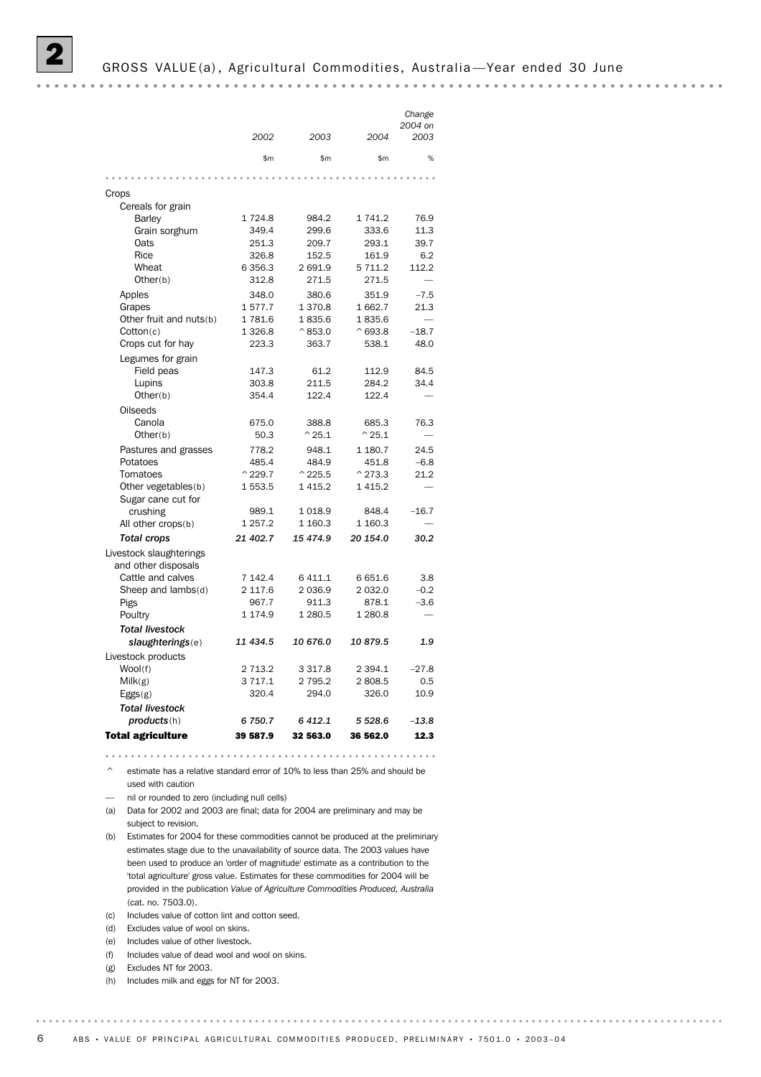|                                 |                            |                            |                            | Change                   |
|---------------------------------|----------------------------|----------------------------|----------------------------|--------------------------|
|                                 | 2002                       | 2003                       | 2004                       | 2004 on<br>2003          |
|                                 |                            |                            |                            |                          |
|                                 | \$m                        | \$m                        | \$m                        | %                        |
|                                 |                            |                            |                            |                          |
| Crops                           |                            |                            |                            |                          |
| Cereals for grain               |                            |                            |                            |                          |
| <b>Barley</b>                   | 1724.8                     | 984.2                      | 1 741.2                    | 76.9                     |
| Grain sorghum                   | 349.4                      | 299.6                      | 333.6                      | 11.3                     |
| Oats                            | 251.3                      | 209.7                      | 293.1                      | 39.7                     |
| Rice                            | 326.8                      | 152.5                      | 161.9                      | 6.2                      |
| Wheat                           | 6 3 5 6.3                  | 2691.9                     | 5 711.2                    | 112.2                    |
| Other(b)                        | 312.8                      | 271.5                      | 271.5                      | $\overline{\phantom{0}}$ |
| Apples                          | 348.0                      | 380.6                      | 351.9                      | $-7.5$                   |
| Grapes                          | 1577.7                     | 1370.8                     | 1662.7                     | 21.3                     |
| Other fruit and nuts(b)         | 1781.6                     | 1835.6                     | 1835.6                     |                          |
| Cotton(c)                       | 1 3 2 6.8                  | $^{\wedge}853.0$           | $^{\wedge}693.8$           | $-18.7$                  |
| Crops cut for hay               | 223.3                      | 363.7                      | 538.1                      | 48.0                     |
| Legumes for grain               |                            |                            |                            |                          |
| Field peas                      | 147.3                      | 61.2                       | 112.9                      | 84.5                     |
| Lupins                          | 303.8                      | 211.5                      | 284.2                      | 34.4                     |
| Other(b)                        | 354.4                      | 122.4                      | 122.4                      |                          |
| Oilseeds                        |                            |                            |                            |                          |
| Canola                          | 675.0                      | 388.8                      | 685.3                      | 76.3                     |
| Other(b)                        | 50.3                       | $^{\wedge}$ 25.1           | $^{\wedge}$ 25.1           |                          |
| Pastures and grasses            | 778.2                      | 948.1                      | 1 180.7                    | 24.5                     |
| Potatoes                        | 485.4<br>$^{\wedge}$ 229.7 | 484.9<br>$^{\wedge}$ 225.5 | 451.8<br>$^{\wedge}$ 273.3 | $-6.8$<br>21.2           |
| Tomatoes<br>Other vegetables(b) | 1 553.5                    | 1 4 1 5.2                  | 1 4 1 5.2                  |                          |
| Sugar cane cut for              |                            |                            |                            |                          |
| crushing                        | 989.1                      | 1018.9                     | 848.4                      | $-16.7$                  |
| All other crops(b)              | 1 257.2                    | 1 160.3                    | 1 160.3                    |                          |
| <b>Total crops</b>              | 21 402.7                   | 15 474.9                   | 20 154.0                   | 30.2                     |
| Livestock slaughterings         |                            |                            |                            |                          |
| and other disposals             |                            |                            |                            |                          |
| Cattle and calves               | 7 142.4                    | 6 411.1                    | 6651.6                     | 3.8                      |
| Sheep and lambs(d)              | 2 117.6                    | 2 0 3 6.9                  | 2 0 3 2.0                  | $-0.2$                   |
| Pigs                            | 967.7                      | 911.3                      | 878.1                      | $-3.6$                   |
| Poultry                         | 1 174.9                    | 1 2 8 0.5                  | 1 280.8                    |                          |
| <b>Total livestock</b>          |                            |                            |                            |                          |
| slaughterings(e)                | 11 434.5                   | 10 676.0                   | 10879.5                    | 1.9                      |
| Livestock products              |                            |                            |                            |                          |
| Wool(f)                         | 2 7 1 3.2                  | 3 3 1 7 . 8                | 2 3 9 4.1                  | $-27.8$                  |
| Milk(g)                         | 3 7 1 7 . 1                | 2 7 9 5.2                  | 2808.5                     | 0.5                      |
| Eggs(g)                         | 320.4                      | 294.0                      | 326.0                      | 10.9                     |
| <b>Total livestock</b>          |                            |                            |                            |                          |
| products(h)                     | 6 750.7                    | 6 412.1                    | 5 5 28.6                   | $-13.8$                  |
| Total agriculture               | 39 587.9                   | 32 563.0                   | 36 562.0                   | 12.3                     |

estimate has a relative standard error of 10% to less than 25% and should be

used with caution

— nil or rounded to zero (including null cells)

(a) Data for 2002 and 2003 are final; data for 2004 are preliminary and may be subject to revision.

(b) Estimates for 2004 for these commodities cannot be produced at the preliminary estimates stage due to the unavailability of source data. The 2003 values have been used to produce an 'order of magnitude' estimate as a contribution to the 'total agriculture' gross value. Estimates for these commodities for 2004 will be provided in the publication *Value of Agriculture Commodities Produced, Australia* (cat. no. 7503.0).

(c) Includes value of cotton lint and cotton seed.

(d) Excludes value of wool on skins.

(e) Includes value of other livestock.

- (f) Includes value of dead wool and wool on skins.
- (g) Excludes NT for 2003.

. . . . . . .

(h) Includes milk and eggs for NT for 2003.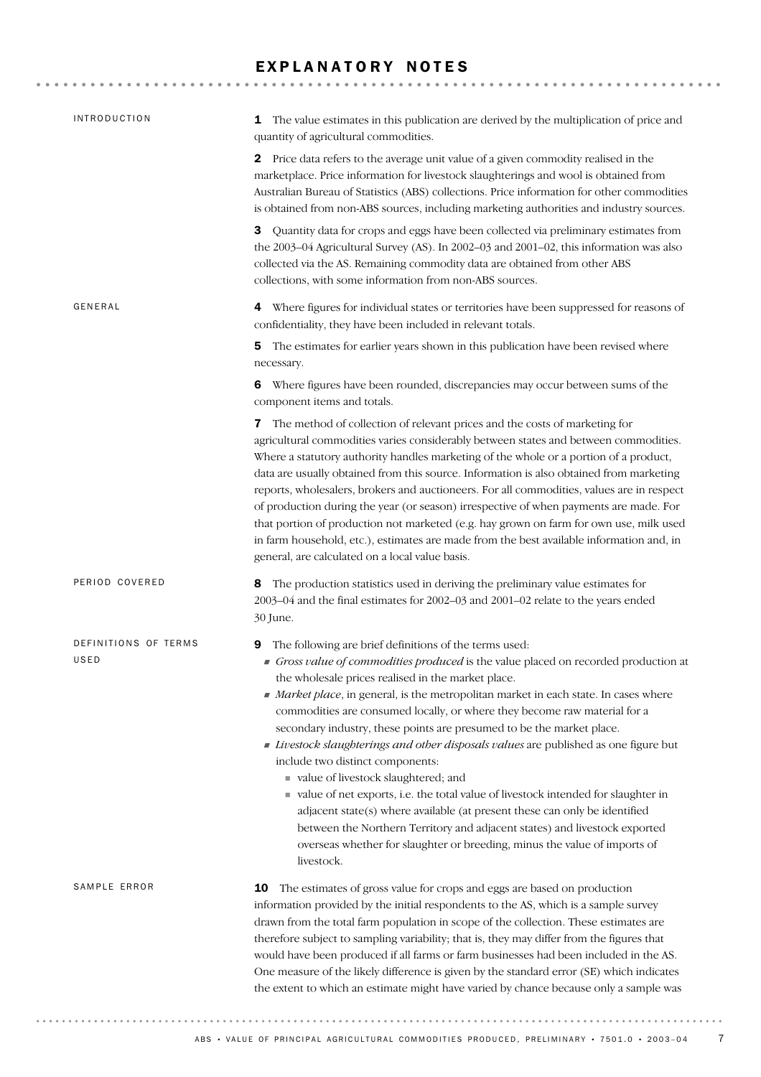### EXPLANATORY NOTES

| <b>INTRODUCTION</b>          | The value estimates in this publication are derived by the multiplication of price and<br>1<br>quantity of agricultural commodities.                                                                                                                                                                                                                                                                                                                                                                                                                                                                                                                                                                                                                                                                                                                                                                                                                               |
|------------------------------|--------------------------------------------------------------------------------------------------------------------------------------------------------------------------------------------------------------------------------------------------------------------------------------------------------------------------------------------------------------------------------------------------------------------------------------------------------------------------------------------------------------------------------------------------------------------------------------------------------------------------------------------------------------------------------------------------------------------------------------------------------------------------------------------------------------------------------------------------------------------------------------------------------------------------------------------------------------------|
|                              | 2 Price data refers to the average unit value of a given commodity realised in the<br>marketplace. Price information for livestock slaughterings and wool is obtained from<br>Australian Bureau of Statistics (ABS) collections. Price information for other commodities<br>is obtained from non-ABS sources, including marketing authorities and industry sources.                                                                                                                                                                                                                                                                                                                                                                                                                                                                                                                                                                                                |
|                              | 3 Quantity data for crops and eggs have been collected via preliminary estimates from<br>the 2003-04 Agricultural Survey (AS). In 2002-03 and 2001-02, this information was also<br>collected via the AS. Remaining commodity data are obtained from other ABS<br>collections, with some information from non-ABS sources.                                                                                                                                                                                                                                                                                                                                                                                                                                                                                                                                                                                                                                         |
| GENERAL                      | 4 Where figures for individual states or territories have been suppressed for reasons of<br>confidentiality, they have been included in relevant totals.                                                                                                                                                                                                                                                                                                                                                                                                                                                                                                                                                                                                                                                                                                                                                                                                           |
|                              | The estimates for earlier years shown in this publication have been revised where<br>5<br>necessary.                                                                                                                                                                                                                                                                                                                                                                                                                                                                                                                                                                                                                                                                                                                                                                                                                                                               |
|                              | 6 Where figures have been rounded, discrepancies may occur between sums of the<br>component items and totals.                                                                                                                                                                                                                                                                                                                                                                                                                                                                                                                                                                                                                                                                                                                                                                                                                                                      |
|                              | The method of collection of relevant prices and the costs of marketing for<br>7<br>agricultural commodities varies considerably between states and between commodities.<br>Where a statutory authority handles marketing of the whole or a portion of a product,<br>data are usually obtained from this source. Information is also obtained from marketing                                                                                                                                                                                                                                                                                                                                                                                                                                                                                                                                                                                                        |
|                              | reports, wholesalers, brokers and auctioneers. For all commodities, values are in respect<br>of production during the year (or season) irrespective of when payments are made. For<br>that portion of production not marketed (e.g. hay grown on farm for own use, milk used<br>in farm household, etc.), estimates are made from the best available information and, in<br>general, are calculated on a local value basis.                                                                                                                                                                                                                                                                                                                                                                                                                                                                                                                                        |
| PERIOD COVERED               | The production statistics used in deriving the preliminary value estimates for<br>8<br>2003-04 and the final estimates for 2002-03 and 2001-02 relate to the years ended<br>30 June.                                                                                                                                                                                                                                                                                                                                                                                                                                                                                                                                                                                                                                                                                                                                                                               |
| DEFINITIONS OF TERMS<br>USED | The following are brief definitions of the terms used:<br>9<br>Gross value of commodities produced is the value placed on recorded production at<br>the wholesale prices realised in the market place.<br>Market place, in general, is the metropolitan market in each state. In cases where<br>commodities are consumed locally, or where they become raw material for a<br>secondary industry, these points are presumed to be the market place.<br>Livestock slaughterings and other disposals values are published as one figure but<br>include two distinct components:<br>value of livestock slaughtered; and<br>value of net exports, i.e. the total value of livestock intended for slaughter in<br>adjacent state $(s)$ where available (at present these can only be identified<br>between the Northern Territory and adjacent states) and livestock exported<br>overseas whether for slaughter or breeding, minus the value of imports of<br>livestock. |
| SAMPLE ERROR                 | The estimates of gross value for crops and eggs are based on production<br>10<br>information provided by the initial respondents to the AS, which is a sample survey<br>drawn from the total farm population in scope of the collection. These estimates are<br>therefore subject to sampling variability; that is, they may differ from the figures that<br>would have been produced if all farms or farm businesses had been included in the AS.<br>One measure of the likely difference is given by the standard error (SE) which indicates<br>the extent to which an estimate might have varied by chance because only a sample was                                                                                                                                                                                                                                                                                                                            |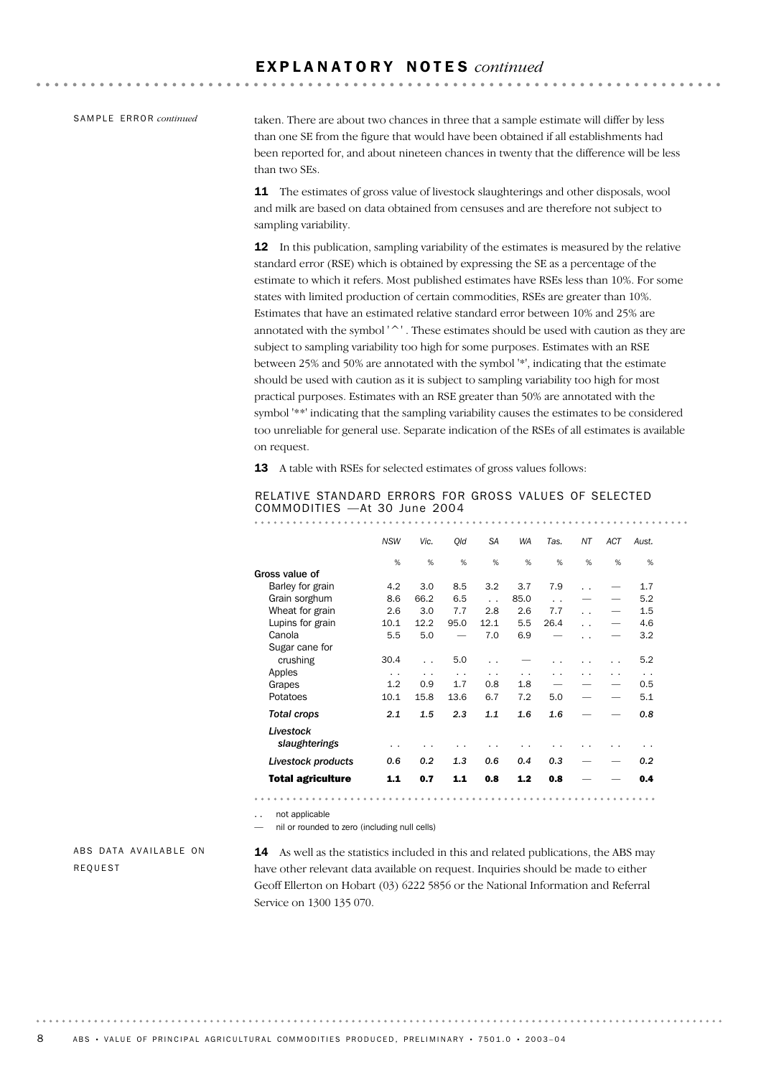SAMPLE ERROR *continued* 

taken. There are about two chances in three that a sample estimate will differ by less than one SE from the figure that would have been obtained if all establishments had been reported for, and about nineteen chances in twenty that the difference will be less than two SEs.

11 The estimates of gross value of livestock slaughterings and other disposals, wool and milk are based on data obtained from censuses and are therefore not subject to sampling variability.

12 In this publication, sampling variability of the estimates is measured by the relative standard error (RSE) which is obtained by expressing the SE as a percentage of the estimate to which it refers. Most published estimates have RSEs less than 10%. For some states with limited production of certain commodities, RSEs are greater than 10%. Estimates that have an estimated relative standard error between 10% and 25% are annotated with the symbol '^'. These estimates should be used with caution as they are subject to sampling variability too high for some purposes. Estimates with an RSE between 25% and 50% are annotated with the symbol '\*', indicating that the estimate should be used with caution as it is subject to sampling variability too high for most practical purposes. Estimates with an RSE greater than 50% are annotated with the symbol '\*\*' indicating that the sampling variability causes the estimates to be considered too unreliable for general use. Separate indication of the RSEs of all estimates is available on request.

13 A table with RSEs for selected estimates of gross values follows:

|                          | <b>NSW</b>      | Vic.      | Qld       | <b>SA</b>            | <b>WA</b> | Tas.      | ΝT                       | <b>ACT</b> | Aust.     |
|--------------------------|-----------------|-----------|-----------|----------------------|-----------|-----------|--------------------------|------------|-----------|
|                          | %               | %         | %         | %                    | %         | %         | %                        | %          | %         |
| Gross value of           |                 |           |           |                      |           |           |                          |            |           |
| Barley for grain         | 4.2             | 3.0       | 8.5       | 3.2                  | 3.7       | 7.9       |                          |            | 1.7       |
| Grain sorghum            | 8.6             | 66.2      | 6.5       | $\ddot{\phantom{0}}$ | 85.0      | $\cdot$ . |                          |            | 5.2       |
| Wheat for grain          | 2.6             | 3.0       | 7.7       | 2.8                  | 2.6       | 7.7       | $\overline{\phantom{a}}$ |            | 1.5       |
| Lupins for grain         | 10.1            | 12.2      | 95.0      | 12.1                 | 5.5       | 26.4      | $\ddot{\phantom{0}}$     |            | 4.6       |
| Canola                   | 5.5             | 5.0       |           | 7.0                  | 6.9       |           |                          |            | 3.2       |
| Sugar cane for           |                 |           |           |                      |           |           |                          |            |           |
| crushing                 | 30.4            | $\ddotsc$ | 5.0       | $\ddot{\phantom{0}}$ |           |           |                          | . .        | 5.2       |
| Apples                   | $\cdot$ $\cdot$ | . .       | $\cdot$ . | . .                  | $\cdot$ . |           |                          | . .        | $\ddotsc$ |
| Grapes                   | 1.2             | 0.9       | 1.7       | 0.8                  | 1.8       |           |                          |            | 0.5       |
| Potatoes                 | 10.1            | 15.8      | 13.6      | 6.7                  | 7.2       | 5.0       |                          |            | 5.1       |
| <b>Total crops</b>       | 2.1             | 1.5       | 2.3       | 1.1                  | 1.6       | 1.6       |                          |            | 0.8       |
| Livestock                |                 |           |           |                      |           |           |                          |            |           |
| slaughterings            | $\sim$          |           |           |                      |           |           |                          |            |           |
| Livestock products       | 0.6             | 0.2       | 1.3       | 0.6                  | 0.4       | 0.3       |                          |            | 0.2       |
| <b>Total agriculture</b> | 1.1             | 0.7       | 1.1       | 0.8                  | 1.2       | 0.8       |                          |            | 0.4       |

#### RELATIVE STANDARD ERRORS FOR GROSS VALUES OF SELECTED COMMODITIES —At 30 June 2004 . . . . . . . . . . . . . . .

.. not applicable

— nil or rounded to zero (including null cells)

#### ABS DATA AVAILABLE ON REQUEST

14 As well as the statistics included in this and related publications, the ABS may have other relevant data available on request. Inquiries should be made to either Geoff Ellerton on Hobart (03) 6222 5856 or the National Information and Referral Service on 1300 135 070.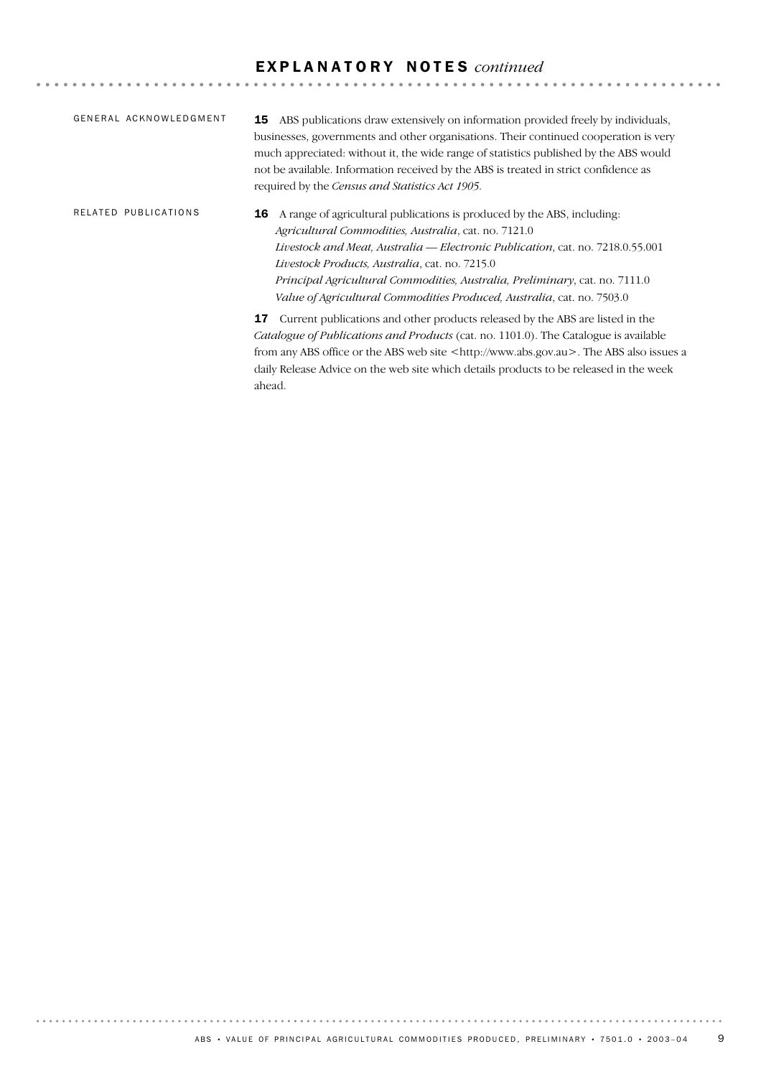### E X P L A N A T O R Y N O T E S *continued*

| GENERAL ACKNOWLEDGMENT | ABS publications draw extensively on information provided freely by individuals,<br>15<br>businesses, governments and other organisations. Their continued cooperation is very<br>much appreciated: without it, the wide range of statistics published by the ABS would<br>not be available. Information received by the ABS is treated in strict confidence as<br>required by the Census and Statistics Act 1905.                 |
|------------------------|------------------------------------------------------------------------------------------------------------------------------------------------------------------------------------------------------------------------------------------------------------------------------------------------------------------------------------------------------------------------------------------------------------------------------------|
| RELATED PUBLICATIONS   | A range of agricultural publications is produced by the ABS, including.<br>16<br>Agricultural Commodities, Australia, cat. no. 7121.0<br>Livestock and Meat, Australia — Electronic Publication, cat. no. 7218.0.55.001<br>Livestock Products, Australia, cat. no. 7215.0<br>Principal Agricultural Commodities, Australia, Preliminary, cat. no. 7111.0<br>Value of Agricultural Commodities Produced, Australia, cat. no. 7503.0 |
|                        | Current publications and other products released by the ABS are listed in the<br>17<br><i>Catalogue of Publications and Products</i> (cat. no. 1101.0). The Catalogue is available<br>from any ABS office or the ABS web site <http: www.abs.gov.au="">. The ABS also issues a<br/>daily Release Advice on the web site which details products to be released in the week</http:>                                                  |

ahead.